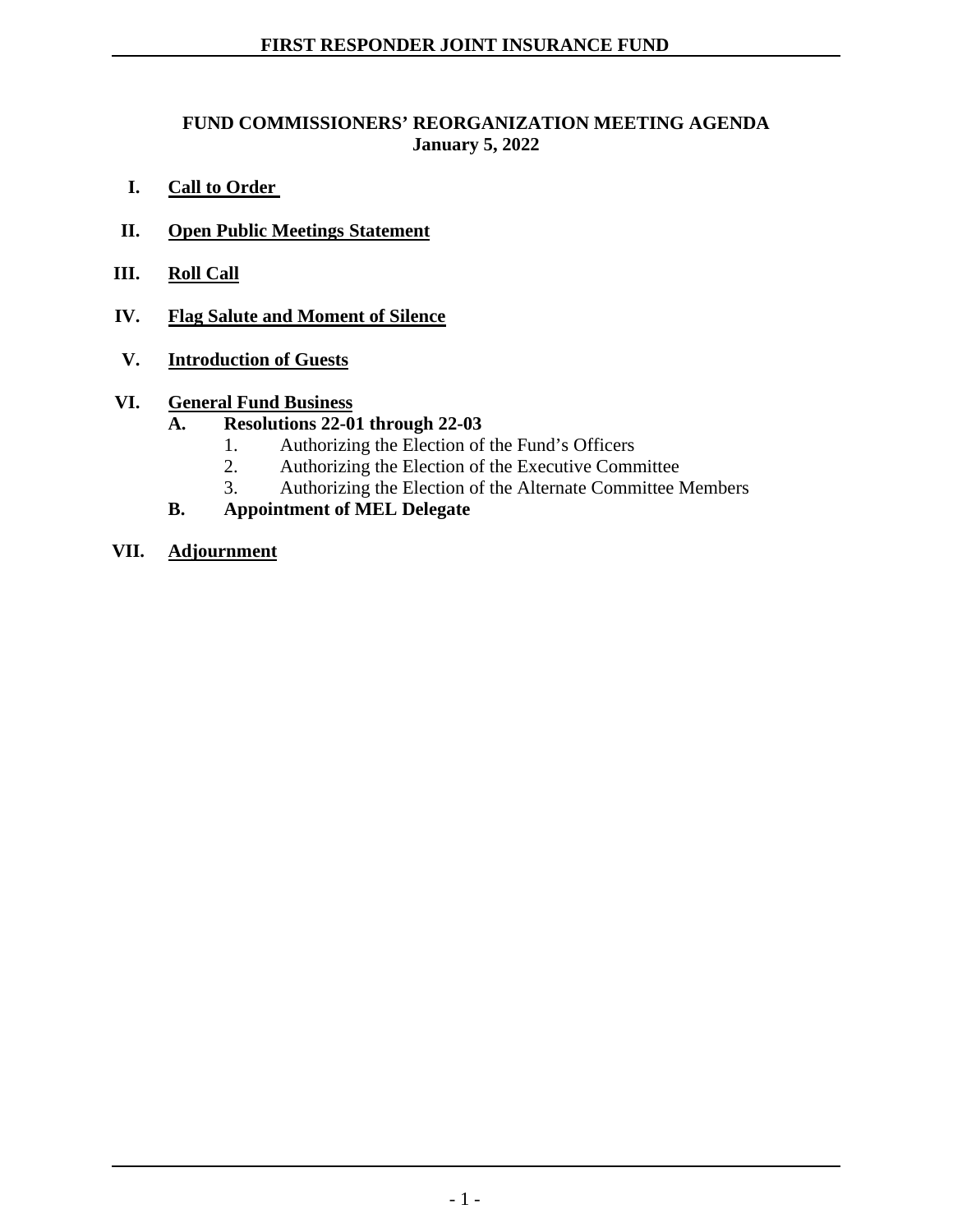## **FUND COMMISSIONERS' REORGANIZATION MEETING AGENDA January 5, 2022**

- **I. Call to Order**
- **II. Open Public Meetings Statement**
- **III. Roll Call**
- **IV. Flag Salute and Moment of Silence**
- **V. Introduction of Guests**

## **VI. General Fund Business**

- **A. Resolutions 22-01 through 22-03** 
	- 1. Authorizing the Election of the Fund's Officers
	- 2. Authorizing the Election of the Executive Committee
	- 3. Authorizing the Election of the Alternate Committee Members
- **B. Appointment of MEL Delegate**
- **VII. Adjournment**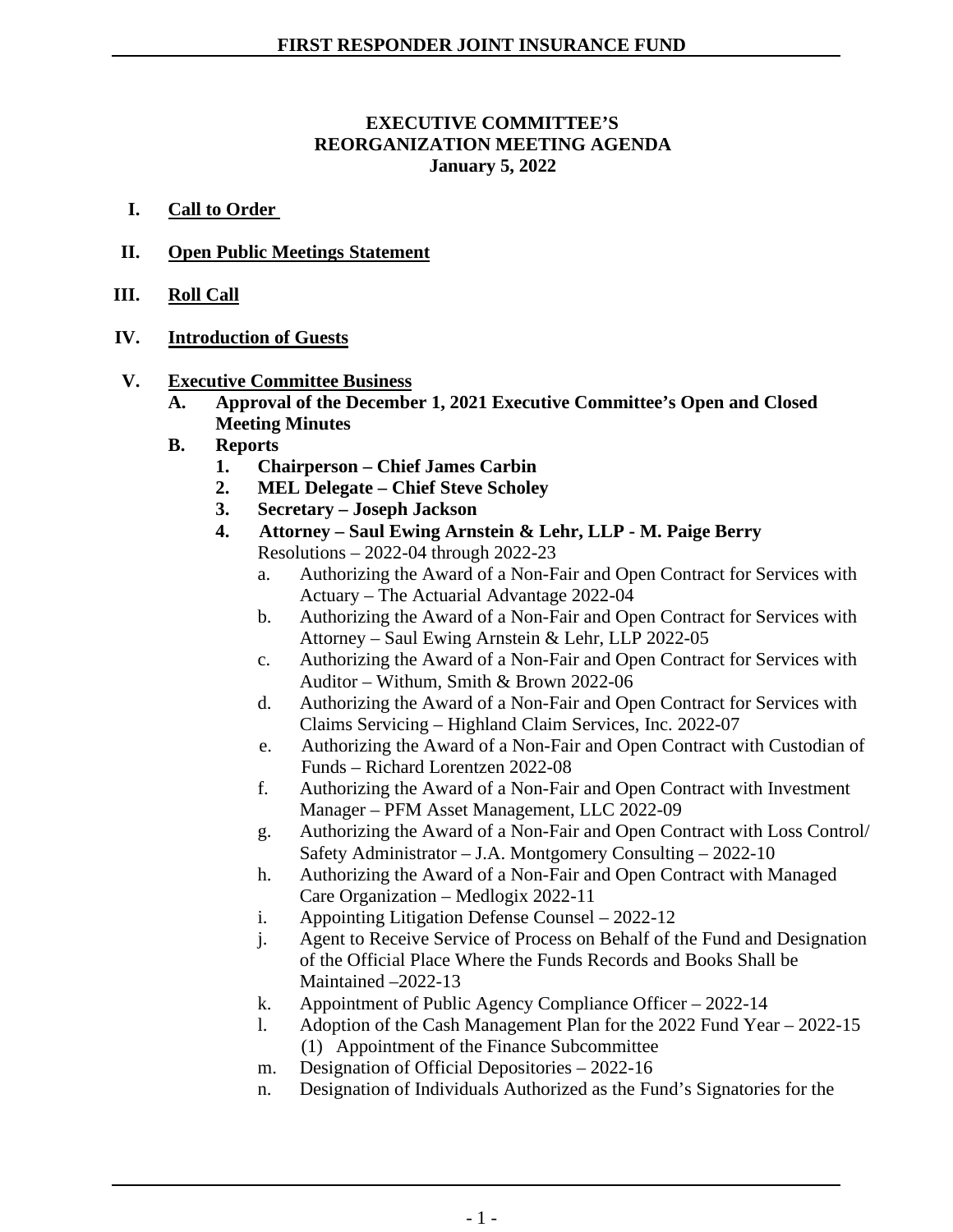#### **EXECUTIVE COMMITTEE'S REORGANIZATION MEETING AGENDA January 5, 2022**

- **I. Call to Order**
- **II. Open Public Meetings Statement**
- **III. Roll Call**
- **IV. Introduction of Guests**
- **V. Executive Committee Business**
	- **A. Approval of the December 1, 2021 Executive Committee's Open and Closed Meeting Minutes**
	- **B. Reports**
		- **1. Chairperson – Chief James Carbin**
		- **2. MEL Delegate – Chief Steve Scholey**
		- **3. Secretary – Joseph Jackson**
		- **4. Attorney – Saul Ewing Arnstein & Lehr, LLP - M. Paige Berry** Resolutions – 2022-04 through 2022-23
			- a. Authorizing the Award of a Non-Fair and Open Contract for Services with Actuary – The Actuarial Advantage 2022-04
			- b. Authorizing the Award of a Non-Fair and Open Contract for Services with Attorney – Saul Ewing Arnstein & Lehr, LLP 2022-05
			- c. Authorizing the Award of a Non-Fair and Open Contract for Services with Auditor – Withum, Smith & Brown 2022-06
			- d. Authorizing the Award of a Non-Fair and Open Contract for Services with Claims Servicing – Highland Claim Services, Inc. 2022-07
			- e. Authorizing the Award of a Non-Fair and Open Contract with Custodian of Funds – Richard Lorentzen 2022-08
			- f. Authorizing the Award of a Non-Fair and Open Contract with Investment Manager – PFM Asset Management, LLC 2022-09
			- g. Authorizing the Award of a Non-Fair and Open Contract with Loss Control/ Safety Administrator – J.A. Montgomery Consulting – 2022-10
			- h. Authorizing the Award of a Non-Fair and Open Contract with Managed Care Organization – Medlogix 2022-11
			- i. Appointing Litigation Defense Counsel 2022-12
			- j. Agent to Receive Service of Process on Behalf of the Fund and Designation of the Official Place Where the Funds Records and Books Shall be Maintained –2022-13
			- k. Appointment of Public Agency Compliance Officer 2022-14
			- l. Adoption of the Cash Management Plan for the 2022 Fund Year 2022-15 (1) Appointment of the Finance Subcommittee
			- m. Designation of Official Depositories 2022-16
			- n. Designation of Individuals Authorized as the Fund's Signatories for the